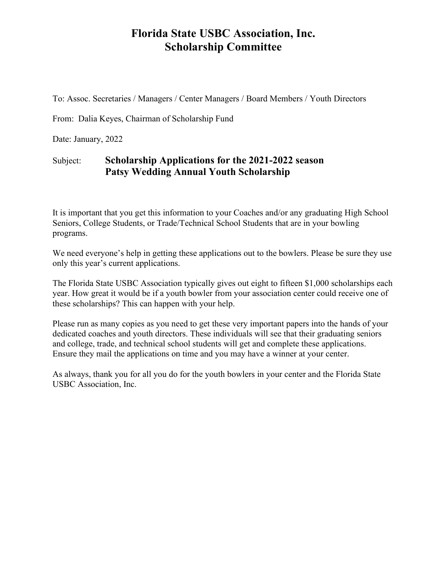## **Florida State USBC Association, Inc. Scholarship Committee**

To: Assoc. Secretaries / Managers / Center Managers / Board Members / Youth Directors

From: Dalia Keyes, Chairman of Scholarship Fund

Date: January, 2022

## Subject: **Scholarship Applications for the 2021-2022 season Patsy Wedding Annual Youth Scholarship**

It is important that you get this information to your Coaches and/or any graduating High School Seniors, College Students, or Trade/Technical School Students that are in your bowling programs.

We need everyone's help in getting these applications out to the bowlers. Please be sure they use only this year's current applications.

The Florida State USBC Association typically gives out eight to fifteen \$1,000 scholarships each year. How great it would be if a youth bowler from your association center could receive one of these scholarships? This can happen with your help.

Please run as many copies as you need to get these very important papers into the hands of your dedicated coaches and youth directors. These individuals will see that their graduating seniors and college, trade, and technical school students will get and complete these applications. Ensure they mail the applications on time and you may have a winner at your center.

As always, thank you for all you do for the youth bowlers in your center and the Florida State USBC Association, Inc.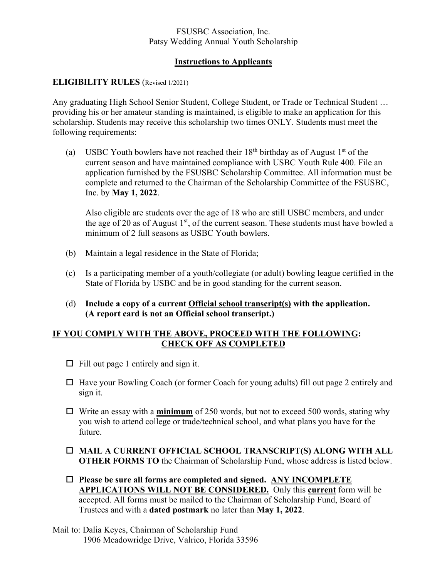### FSUSBC Association, Inc. Patsy Wedding Annual Youth Scholarship

## **Instructions to Applicants**

### **ELIGIBILITY RULES** (Revised 1/2021)

Any graduating High School Senior Student, College Student, or Trade or Technical Student … providing his or her amateur standing is maintained, is eligible to make an application for this scholarship. Students may receive this scholarship two times ONLY. Students must meet the following requirements:

(a) USBC Youth bowlers have not reached their  $18^{th}$  birthday as of August  $1<sup>st</sup>$  of the current season and have maintained compliance with USBC Youth Rule 400. File an application furnished by the FSUSBC Scholarship Committee. All information must be complete and returned to the Chairman of the Scholarship Committee of the FSUSBC, Inc. by **May 1, 2022**.

Also eligible are students over the age of 18 who are still USBC members, and under the age of 20 as of August 1<sup>st</sup>, of the current season. These students must have bowled a minimum of 2 full seasons as USBC Youth bowlers.

- (b) Maintain a legal residence in the State of Florida;
- (c) Is a participating member of a youth/collegiate (or adult) bowling league certified in the State of Florida by USBC and be in good standing for the current season.
- (d) **Include a copy of a current Official school transcript(s) with the application. (A report card is not an Official school transcript.)**

### **IF YOU COMPLY WITH THE ABOVE, PROCEED WITH THE FOLLOWING: CHECK OFF AS COMPLETED**

- $\Box$  Fill out page 1 entirely and sign it.
- $\Box$  Have your Bowling Coach (or former Coach for young adults) fill out page 2 entirely and sign it.
- Write an essay with a **minimum** of 250 words, but not to exceed 500 words, stating why you wish to attend college or trade/technical school, and what plans you have for the future.
- **MAIL A CURRENT OFFICIAL SCHOOL TRANSCRIPT(S) ALONG WITH ALL OTHER FORMS TO** the Chairman of Scholarship Fund, whose address is listed below.
- **Please be sure all forms are completed and signed. ANY INCOMPLETE APPLICATIONS WILL NOT BE CONSIDERED.** Only this **current** form will be accepted. All forms must be mailed to the Chairman of Scholarship Fund, Board of Trustees and with a **dated postmark** no later than **May 1, 2022**.

Mail to: Dalia Keyes, Chairman of Scholarship Fund 1906 Meadowridge Drive, Valrico, Florida 33596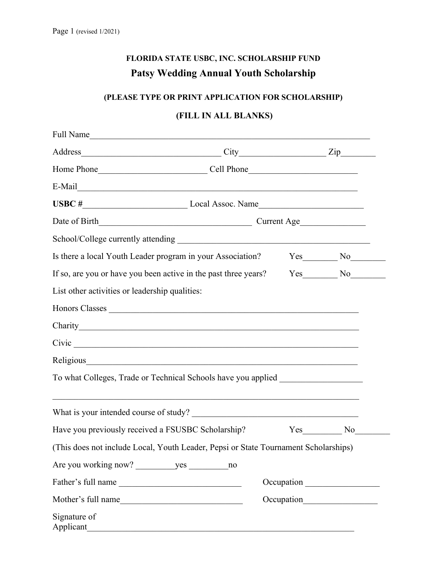# **FLORIDA STATE USBC, INC. SCHOLARSHIP FUND Patsy Wedding Annual Youth Scholarship**

## **(PLEASE TYPE OR PRINT APPLICATION FOR SCHOLARSHIP)**

## **(FILL IN ALL BLANKS)**

| Full Name                                                                           |                                                             |  |            |  |  |
|-------------------------------------------------------------------------------------|-------------------------------------------------------------|--|------------|--|--|
| Address                                                                             | $\qquad \qquad \text{City} \qquad \qquad \text{Zip} \qquad$ |  |            |  |  |
|                                                                                     |                                                             |  |            |  |  |
| E-Mail                                                                              |                                                             |  |            |  |  |
| USBC # Local Assoc. Name                                                            |                                                             |  |            |  |  |
|                                                                                     |                                                             |  |            |  |  |
|                                                                                     |                                                             |  |            |  |  |
|                                                                                     |                                                             |  |            |  |  |
| If so, are you or have you been active in the past three years? Yes No No           |                                                             |  |            |  |  |
| List other activities or leadership qualities:                                      |                                                             |  |            |  |  |
|                                                                                     |                                                             |  |            |  |  |
|                                                                                     |                                                             |  |            |  |  |
|                                                                                     |                                                             |  |            |  |  |
|                                                                                     |                                                             |  |            |  |  |
| To what Colleges, Trade or Technical Schools have you applied                       |                                                             |  |            |  |  |
|                                                                                     |                                                             |  |            |  |  |
|                                                                                     |                                                             |  |            |  |  |
| Have you previously received a FSUSBC Scholarship?                                  |                                                             |  | Yes No     |  |  |
| (This does not include Local, Youth Leader, Pepsi or State Tournament Scholarships) |                                                             |  |            |  |  |
|                                                                                     | no                                                          |  |            |  |  |
| Father's full name                                                                  |                                                             |  | Occupation |  |  |
|                                                                                     |                                                             |  |            |  |  |
| Signature of<br>Applicant                                                           |                                                             |  |            |  |  |